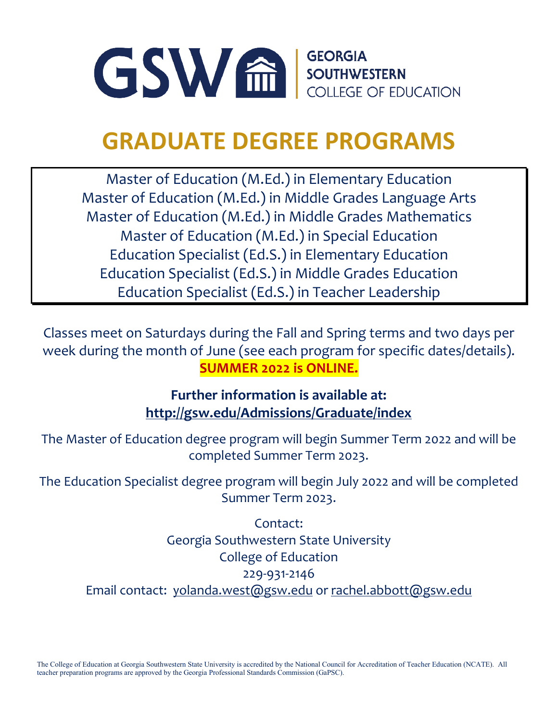

### **GRADUATE DEGREE PROGRAMS**

Master of Education (M.Ed.) in Elementary Education Master of Education (M.Ed.) in Middle Grades Language Arts Master of Education (M.Ed.) in Middle Grades Mathematics Master of Education (M.Ed.) in Special Education Education Specialist (Ed.S.) in Elementary Education Education Specialist (Ed.S.) in Middle Grades Education Education Specialist (Ed.S.) in Teacher Leadership

Classes meet on Saturdays during the Fall and Spring terms and two days per week during the month of June (see each program for specific dates/details). **SUMMER 2022 is ONLINE.**

### **Further information is available at: <http://gsw.edu/Admissions/Graduate/index>**

The Master of Education degree program will begin Summer Term 2022 and will be completed Summer Term 2023.

The Education Specialist degree program will begin July 2022 and will be completed Summer Term 2023.

Contact: Georgia Southwestern State University College of Education 229-931-2146 Email contact: [yolanda.west@gsw.edu](mailto:yolanda.west@gsw.edu) or [rachel.abbott@gsw.edu](mailto:rachel.abbott@gsw.edu)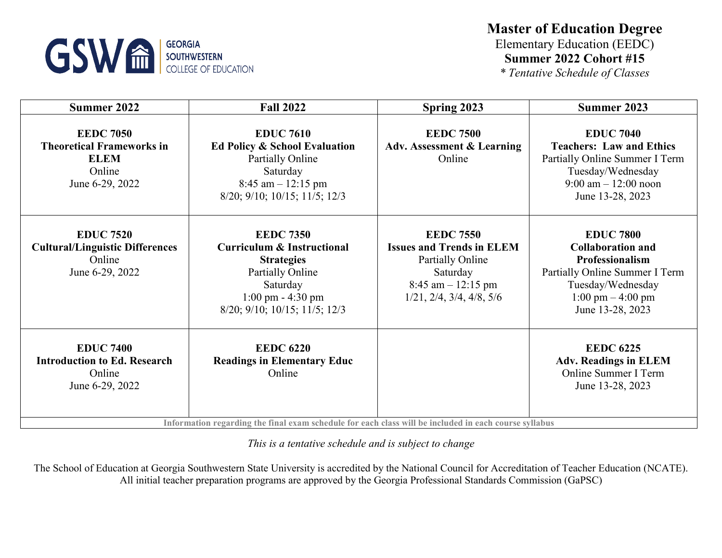

### **Master of Education Degree** Elementary Education (EEDC) **Summer 2022 Cohort #15**

*\* Tentative Schedule of Classes*

| Summer 2022                                                                                      | <b>Fall 2022</b>                                                                                                                                                                              | Spring 2023                                                                                                                                             | Summer 2023                                                                                                                                                                              |
|--------------------------------------------------------------------------------------------------|-----------------------------------------------------------------------------------------------------------------------------------------------------------------------------------------------|---------------------------------------------------------------------------------------------------------------------------------------------------------|------------------------------------------------------------------------------------------------------------------------------------------------------------------------------------------|
| <b>EEDC 7050</b><br><b>Theoretical Frameworks in</b><br><b>ELEM</b><br>Online<br>June 6-29, 2022 | <b>EDUC 7610</b><br>Ed Policy & School Evaluation<br>Partially Online<br>Saturday<br>$8:45$ am $-12:15$ pm<br>8/20; 9/10; 10/15; 11/5; 12/3                                                   | <b>EEDC 7500</b><br><b>Adv. Assessment &amp; Learning</b><br>Online                                                                                     | <b>EDUC 7040</b><br><b>Teachers: Law and Ethics</b><br>Partially Online Summer I Term<br>Tuesday/Wednesday<br>$9:00 \text{ am} - 12:00 \text{ noon}$<br>June 13-28, 2023                 |
| <b>EDUC 7520</b><br><b>Cultural/Linguistic Differences</b><br>Online<br>June 6-29, 2022          | <b>EEDC 7350</b><br><b>Curriculum &amp; Instructional</b><br><b>Strategies</b><br><b>Partially Online</b><br>Saturday<br>$1:00 \text{ pm} - 4:30 \text{ pm}$<br>8/20; 9/10; 10/15; 11/5; 12/3 | <b>EEDC 7550</b><br><b>Issues and Trends in ELEM</b><br>Partially Online<br>Saturday<br>$8:45$ am $-12:15$ pm<br>$1/21$ , $2/4$ , $3/4$ , $4/8$ , $5/6$ | <b>EDUC 7800</b><br><b>Collaboration and</b><br><b>Professionalism</b><br>Partially Online Summer I Term<br>Tuesday/Wednesday<br>$1:00 \text{ pm} - 4:00 \text{ pm}$<br>June 13-28, 2023 |
| <b>EDUC 7400</b><br><b>Introduction to Ed. Research</b><br>Online<br>June 6-29, 2022             | <b>EEDC 6220</b><br><b>Readings in Elementary Educ</b><br>Online<br>Information regarding the final exam schedule for each class will be included in each course syllabus                     |                                                                                                                                                         | <b>EEDC 6225</b><br><b>Adv. Readings in ELEM</b><br>Online Summer I Term<br>June 13-28, 2023                                                                                             |

*This is a tentative schedule and is subject to change*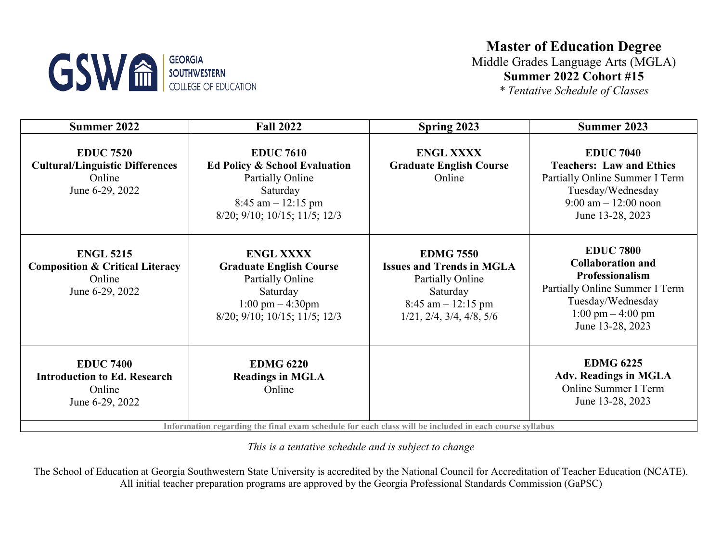

### **Master of Education Degree**

Middle Grades Language Arts (MGLA) **Summer 2022 Cohort #15**

*\* Tentative Schedule of Classes*

| Summer 2022                                                                                 | <b>Fall 2022</b>                                                                                                                                               | Spring 2023                                                                                                                                                    | Summer 2023                                                                                                                                                                       |
|---------------------------------------------------------------------------------------------|----------------------------------------------------------------------------------------------------------------------------------------------------------------|----------------------------------------------------------------------------------------------------------------------------------------------------------------|-----------------------------------------------------------------------------------------------------------------------------------------------------------------------------------|
| <b>EDUC 7520</b><br><b>Cultural/Linguistic Differences</b><br>Online<br>June 6-29, 2022     | <b>EDUC 7610</b><br>Ed Policy & School Evaluation<br><b>Partially Online</b><br>Saturday<br>$8:45$ am $-12:15$ pm<br>8/20; 9/10; 10/15; 11/5; 12/3             | <b>ENGL XXXX</b><br><b>Graduate English Course</b><br>Online                                                                                                   | <b>EDUC 7040</b><br><b>Teachers: Law and Ethics</b><br>Partially Online Summer I Term<br>Tuesday/Wednesday<br>$9:00 \text{ am} - 12:00 \text{ noon}$<br>June 13-28, 2023          |
| <b>ENGL 5215</b><br><b>Composition &amp; Critical Literacy</b><br>Online<br>June 6-29, 2022 | <b>ENGL XXXX</b><br><b>Graduate English Course</b><br>Partially Online<br>Saturday<br>$1:00 \text{ pm} - 4:30 \text{pm}$<br>8/20; 9/10; 10/15; 11/5; 12/3      | <b>EDMG 7550</b><br><b>Issues and Trends in MGLA</b><br><b>Partially Online</b><br>Saturday<br>$8:45$ am $-12:15$ pm<br>$1/21$ , $2/4$ , $3/4$ , $4/8$ , $5/6$ | <b>EDUC 7800</b><br><b>Collaboration and</b><br>Professionalism<br>Partially Online Summer I Term<br>Tuesday/Wednesday<br>$1:00 \text{ pm} - 4:00 \text{ pm}$<br>June 13-28, 2023 |
| <b>EDUC 7400</b><br><b>Introduction to Ed. Research</b><br>Online<br>June 6-29, 2022        | <b>EDMG 6220</b><br><b>Readings in MGLA</b><br>Online<br>Information regarding the final exam schedule for each class will be included in each course syllabus |                                                                                                                                                                | <b>EDMG 6225</b><br><b>Adv. Readings in MGLA</b><br>Online Summer I Term<br>June 13-28, 2023                                                                                      |

**Information regarding the final exam schedule for each class will be included in each course syllabus**

*This is a tentative schedule and is subject to change*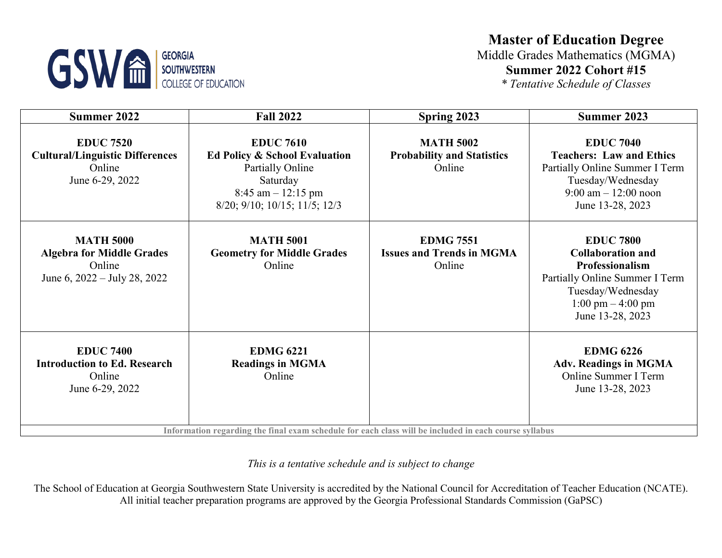# **GSW EDUCATION** SOUTHWESTERN

### **Master of Education Degree** Middle Grades Mathematics (MGMA) **Summer 2022 Cohort #15**

*\* Tentative Schedule of Classes*

| Summer 2022                                                                                                 | <b>Fall 2022</b>                                                                                                                                               | Spring 2023                                                     | Summer 2023                                                                                                                                                                       |
|-------------------------------------------------------------------------------------------------------------|----------------------------------------------------------------------------------------------------------------------------------------------------------------|-----------------------------------------------------------------|-----------------------------------------------------------------------------------------------------------------------------------------------------------------------------------|
| <b>EDUC 7520</b><br><b>Cultural/Linguistic Differences</b><br>Online<br>June 6-29, 2022                     | <b>EDUC 7610</b><br>Ed Policy & School Evaluation<br><b>Partially Online</b><br>Saturday<br>$8:45$ am $-12:15$ pm<br>8/20; 9/10; 10/15; 11/5; 12/3             | <b>MATH 5002</b><br><b>Probability and Statistics</b><br>Online | <b>EDUC 7040</b><br><b>Teachers: Law and Ethics</b><br>Partially Online Summer I Term<br>Tuesday/Wednesday<br>$9:00 \text{ am} - 12:00 \text{ noon}$<br>June 13-28, 2023          |
| <b>MATH 5000</b><br><b>Algebra for Middle Grades</b><br>Online<br>June 6, $2022 - \text{July } 28$ , $2022$ | <b>MATH 5001</b><br><b>Geometry for Middle Grades</b><br>Online                                                                                                | <b>EDMG 7551</b><br><b>Issues and Trends in MGMA</b><br>Online  | <b>EDUC 7800</b><br><b>Collaboration and</b><br>Professionalism<br>Partially Online Summer I Term<br>Tuesday/Wednesday<br>$1:00 \text{ pm} - 4:00 \text{ pm}$<br>June 13-28, 2023 |
| <b>EDUC 7400</b><br><b>Introduction to Ed. Research</b><br>Online<br>June 6-29, 2022                        | <b>EDMG 6221</b><br><b>Readings in MGMA</b><br>Online<br>Information regarding the final exam schedule for each class will be included in each course syllabus |                                                                 | <b>EDMG 6226</b><br><b>Adv. Readings in MGMA</b><br>Online Summer I Term<br>June 13-28, 2023                                                                                      |

*This is a tentative schedule and is subject to change*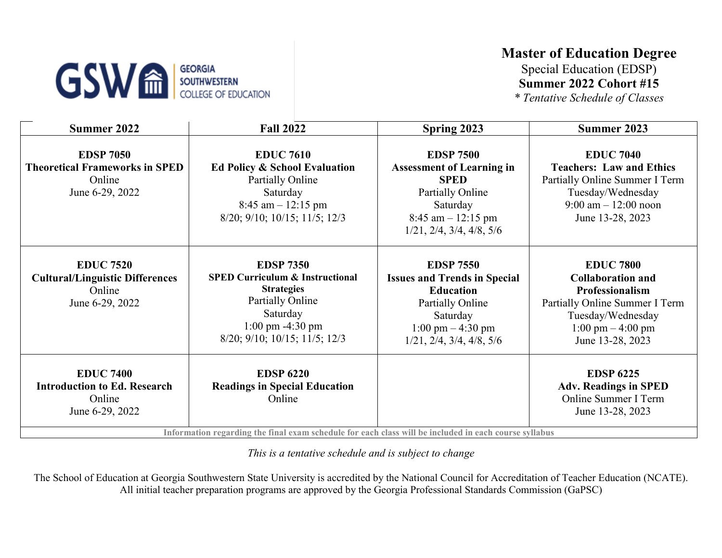## **GSW & SOUTHWESTERN**<br>COLLEGE OF EDUCATION

### **Master of Education Degree**

Special Education (EDSP) **Summer 2022 Cohort #15**

*\* Tentative Schedule of Classes*

| Summer 2022                                                                             | <b>Fall 2022</b>                                                                                                                                                                              | Spring 2023                                                                                                                                                                                         | Summer 2023                                                                                                                                                                              |
|-----------------------------------------------------------------------------------------|-----------------------------------------------------------------------------------------------------------------------------------------------------------------------------------------------|-----------------------------------------------------------------------------------------------------------------------------------------------------------------------------------------------------|------------------------------------------------------------------------------------------------------------------------------------------------------------------------------------------|
| <b>EDSP 7050</b><br><b>Theoretical Frameworks in SPED</b><br>Online<br>June 6-29, 2022  | <b>EDUC 7610</b><br>Ed Policy & School Evaluation<br><b>Partially Online</b><br>Saturday<br>$8:45$ am $-12:15$ pm<br>$8/20$ ; $9/10$ ; $10/15$ ; $11/5$ ; $12/3$                              | <b>EDSP 7500</b><br><b>Assessment of Learning in</b><br><b>SPED</b><br>Partially Online<br>Saturday<br>$8:45$ am $-12:15$ pm<br>$1/21$ , $2/4$ , $3/4$ , $4/8$ , $5/6$                              | <b>EDUC 7040</b><br><b>Teachers: Law and Ethics</b><br>Partially Online Summer I Term<br>Tuesday/Wednesday<br>$9:00 \text{ am} - 12:00 \text{ noon}$<br>June 13-28, 2023                 |
| <b>EDUC 7520</b><br><b>Cultural/Linguistic Differences</b><br>Online<br>June 6-29, 2022 | <b>EDSP 7350</b><br><b>SPED Curriculum &amp; Instructional</b><br><b>Strategies</b><br><b>Partially Online</b><br>Saturday<br>1:00 pm -4:30 pm<br>$8/20$ ; $9/10$ ; $10/15$ ; $11/5$ ; $12/3$ | <b>EDSP 7550</b><br><b>Issues and Trends in Special</b><br><b>Education</b><br><b>Partially Online</b><br>Saturday<br>$1:00 \text{ pm} - 4:30 \text{ pm}$<br>$1/21$ , $2/4$ , $3/4$ , $4/8$ , $5/6$ | <b>EDUC 7800</b><br><b>Collaboration and</b><br><b>Professionalism</b><br>Partially Online Summer I Term<br>Tuesday/Wednesday<br>$1:00 \text{ pm} - 4:00 \text{ pm}$<br>June 13-28, 2023 |
| <b>EDUC 7400</b><br><b>Introduction to Ed. Research</b><br>Online<br>June 6-29, 2022    | <b>EDSP 6220</b><br><b>Readings in Special Education</b><br>Online<br>Information regarding the final evem schedule for each closs will be included in each course syllabus                   |                                                                                                                                                                                                     | <b>EDSP 6225</b><br><b>Adv. Readings in SPED</b><br>Online Summer I Term<br>June 13-28, 2023                                                                                             |

**Information regarding the final exam schedule for each class will be included in each course syllabus**

*This is a tentative schedule and is subject to change*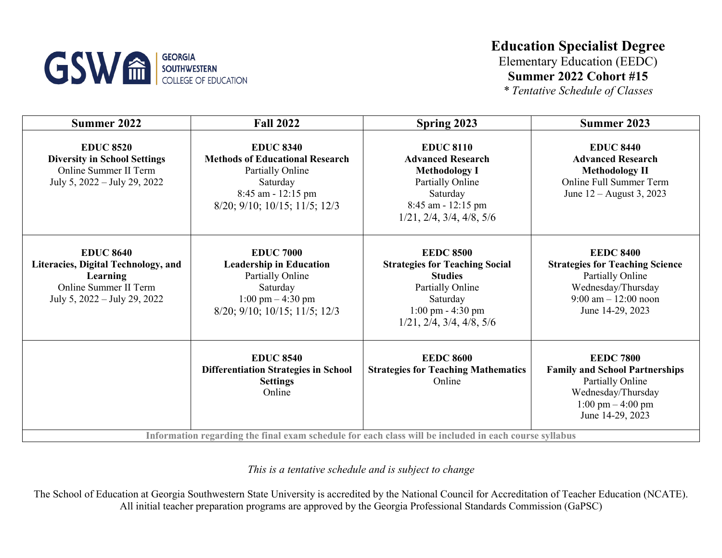

### **Education Specialist Degree**

Elementary Education (EEDC) **Summer 2022 Cohort #15**

*\* Tentative Schedule of Classes*

| Summer 2022                                                                                                                         | <b>Fall 2022</b>                                                                                                                                   | Spring 2023                                                                                                                                                                                  | Summer 2023                                                                                                                                                    |
|-------------------------------------------------------------------------------------------------------------------------------------|----------------------------------------------------------------------------------------------------------------------------------------------------|----------------------------------------------------------------------------------------------------------------------------------------------------------------------------------------------|----------------------------------------------------------------------------------------------------------------------------------------------------------------|
| <b>EDUC 8520</b><br><b>Diversity in School Settings</b><br>Online Summer II Term<br>July 5, 2022 – July 29, 2022                    | <b>EDUC 8340</b><br><b>Methods of Educational Research</b><br>Partially Online<br>Saturday<br>8:45 am - 12:15 pm<br>8/20; 9/10; 10/15; 11/5; 12/3  | <b>EDUC 8110</b><br><b>Advanced Research</b><br><b>Methodology I</b><br>Partially Online<br>Saturday<br>8:45 am - 12:15 pm<br>$1/21$ , $2/4$ , $3/4$ , $4/8$ , $5/6$                         | <b>EDUC 8440</b><br><b>Advanced Research</b><br><b>Methodology II</b><br><b>Online Full Summer Term</b><br>June $12 -$ August 3, 2023                          |
| <b>EDUC 8640</b><br>Literacies, Digital Technology, and<br><b>Learning</b><br>Online Summer II Term<br>July 5, 2022 – July 29, 2022 | <b>EDUC 7000</b><br><b>Leadership in Education</b><br><b>Partially Online</b><br>Saturday<br>$1:00$ pm $-4:30$ pm<br>8/20; 9/10; 10/15; 11/5; 12/3 | <b>EEDC 8500</b><br><b>Strategies for Teaching Social</b><br><b>Studies</b><br>Partially Online<br>Saturday<br>$1:00 \text{ pm} - 4:30 \text{ pm}$<br>$1/21$ , $2/4$ , $3/4$ , $4/8$ , $5/6$ | <b>EEDC 8400</b><br><b>Strategies for Teaching Science</b><br>Partially Online<br>Wednesday/Thursday<br>$9:00$ am $-12:00$ noon<br>June 14-29, 2023            |
|                                                                                                                                     | <b>EDUC 8540</b><br><b>Differentiation Strategies in School</b><br><b>Settings</b><br>Online                                                       | <b>EEDC 8600</b><br><b>Strategies for Teaching Mathematics</b><br>Online<br>Information regarding the final exam schedule for each class will be included in each course syllabus            | <b>EEDC 7800</b><br><b>Family and School Partnerships</b><br>Partially Online<br>Wednesday/Thursday<br>$1:00 \text{ pm} - 4:00 \text{ pm}$<br>June 14-29, 2023 |

*This is a tentative schedule and is subject to change*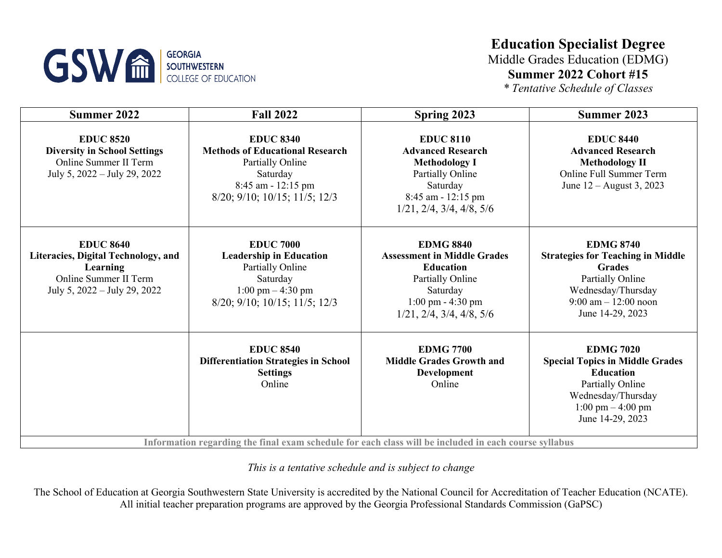

### **Education Specialist Degree**

Middle Grades Education (EDMG) **Summer 2022 Cohort #15**

*\* Tentative Schedule of Classes*

| <b>Summer 2022</b>                                                                                                           | <b>Fall 2022</b>                                                                                                                                                                                      | Spring 2023                                                                                                                                                                                 | Summer 2023                                                                                                                                                                           |
|------------------------------------------------------------------------------------------------------------------------------|-------------------------------------------------------------------------------------------------------------------------------------------------------------------------------------------------------|---------------------------------------------------------------------------------------------------------------------------------------------------------------------------------------------|---------------------------------------------------------------------------------------------------------------------------------------------------------------------------------------|
| <b>EDUC 8520</b><br><b>Diversity in School Settings</b><br>Online Summer II Term<br>July 5, 2022 – July 29, 2022             | <b>EDUC 8340</b><br><b>Methods of Educational Research</b><br><b>Partially Online</b><br>Saturday<br>$8:45$ am - 12:15 pm<br>$8/20$ ; $9/10$ ; $10/15$ ; $11/5$ ; $12/3$                              | <b>EDUC 8110</b><br><b>Advanced Research</b><br><b>Methodology I</b><br>Partially Online<br>Saturday<br>8:45 am - 12:15 pm<br>$1/21$ , $2/4$ , $3/4$ , $4/8$ , $5/6$                        | <b>EDUC 8440</b><br><b>Advanced Research</b><br><b>Methodology II</b><br>Online Full Summer Term<br>June 12 – August 3, 2023                                                          |
| <b>EDUC 8640</b><br>Literacies, Digital Technology, and<br>Learning<br>Online Summer II Term<br>July 5, 2022 – July 29, 2022 | <b>EDUC 7000</b><br><b>Leadership in Education</b><br>Partially Online<br>Saturday<br>$1:00 \text{ pm} - 4:30 \text{ pm}$<br>$8/20$ ; $9/10$ ; $10/15$ ; $11/5$ ; $12/3$                              | <b>EDMG 8840</b><br><b>Assessment in Middle Grades</b><br><b>Education</b><br>Partially Online<br>Saturday<br>$1:00 \text{ pm} - 4:30 \text{ pm}$<br>$1/21$ , $2/4$ , $3/4$ , $4/8$ , $5/6$ | <b>EDMG 8740</b><br><b>Strategies for Teaching in Middle</b><br><b>Grades</b><br>Partially Online<br>Wednesday/Thursday<br>$9:00 \text{ am} - 12:00 \text{ noon}$<br>June 14-29, 2023 |
|                                                                                                                              | <b>EDUC 8540</b><br><b>Differentiation Strategies in School</b><br><b>Settings</b><br>Online<br>Information regarding the final exam schedule for each class will be included in each course syllabus | <b>EDMG 7700</b><br><b>Middle Grades Growth and</b><br><b>Development</b><br>Online                                                                                                         | <b>EDMG 7020</b><br><b>Special Topics in Middle Grades</b><br><b>Education</b><br>Partially Online<br>Wednesday/Thursday<br>$1:00 \text{ pm} - 4:00 \text{ pm}$<br>June 14-29, 2023   |

*This is a tentative schedule and is subject to change*